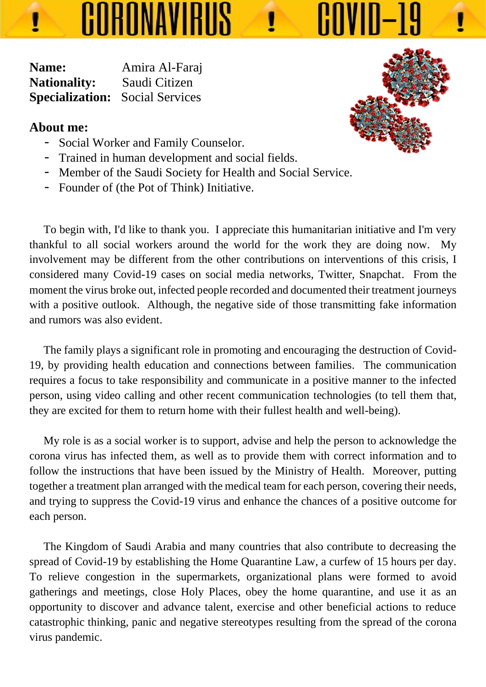**Name:** Amira Al-Faraj **Nationality:** Saudi Citizen **Specialization:** Social Services

## **About me:**

- Social Worker and Family Counselor.

CORONAVIRUS

- Trained in human development and social fields.
- Member of the Saudi Society for Health and Social Service.
- Founder of (the Pot of Think) Initiative.

 To begin with, I'd like to thank you. I appreciate this humanitarian initiative and I'm very thankful to all social workers around the world for the work they are doing now. My involvement may be different from the other contributions on interventions of this crisis, I considered many Covid-19 cases on social media networks, Twitter, Snapchat. From the moment the virus broke out, infected people recorded and documented their treatment journeys with a positive outlook. Although, the negative side of those transmitting fake information and rumors was also evident.

 The family plays a significant role in promoting and encouraging the destruction of Covid-19, by providing health education and connections between families. The communication requires a focus to take responsibility and communicate in a positive manner to the infected person, using video calling and other recent communication technologies (to tell them that, they are excited for them to return home with their fullest health and well-being).

 My role is as a social worker is to support, advise and help the person to acknowledge the corona virus has infected them, as well as to provide them with correct information and to follow the instructions that have been issued by the Ministry of Health. Moreover, putting together a treatment plan arranged with the medical team for each person, covering their needs, and trying to suppress the Covid-19 virus and enhance the chances of a positive outcome for each person.

 The Kingdom of Saudi Arabia and many countries that also contribute to decreasing the spread of Covid-19 by establishing the Home Quarantine Law, a curfew of 15 hours per day. To relieve congestion in the supermarkets, organizational plans were formed to avoid gatherings and meetings, close Holy Places, obey the home quarantine, and use it as an opportunity to discover and advance talent, exercise and other beneficial actions to reduce catastrophic thinking, panic and negative stereotypes resulting from the spread of the corona virus pandemic.



COVID-1